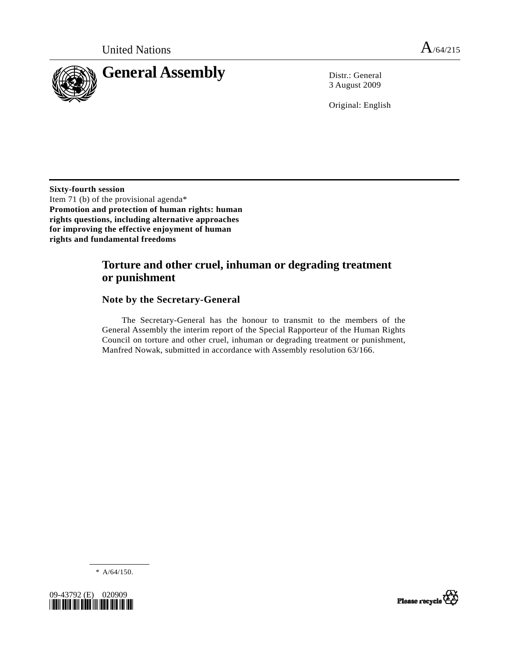

3 August 2009

Original: English

**Sixty-fourth session**  Item 71 (b) of the provisional agenda\* **Promotion and protection of human rights: human rights questions, including alternative approaches for improving the effective enjoyment of human rights and fundamental freedoms** 

# **Torture and other cruel, inhuman or degrading treatment or punishment**

## **Note by the Secretary-General**

 The Secretary-General has the honour to transmit to the members of the General Assembly the interim report of the Special Rapporteur of the Human Rights Council on torture and other cruel, inhuman or degrading treatment or punishment, Manfred Nowak, submitted in accordance with Assembly resolution 63/166.

 $* A/64/150.$ 



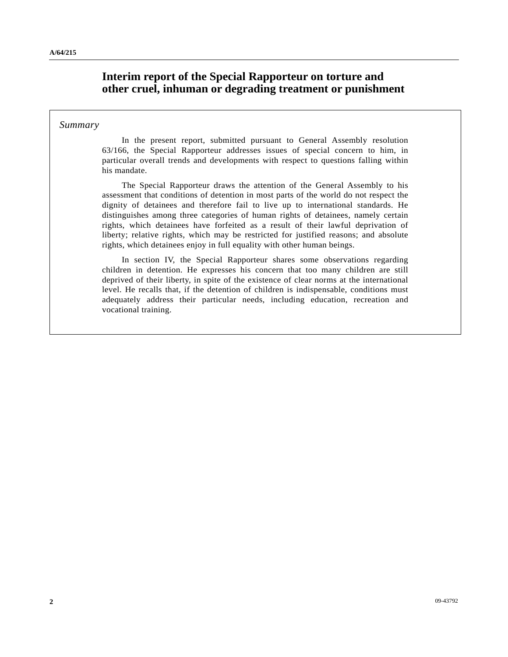# **Interim report of the Special Rapporteur on torture and other cruel, inhuman or degrading treatment or punishment**

### *Summary*

 In the present report, submitted pursuant to General Assembly resolution 63/166, the Special Rapporteur addresses issues of special concern to him, in particular overall trends and developments with respect to questions falling within his mandate.

 The Special Rapporteur draws the attention of the General Assembly to his assessment that conditions of detention in most parts of the world do not respect the dignity of detainees and therefore fail to live up to international standards. He distinguishes among three categories of human rights of detainees, namely certain rights, which detainees have forfeited as a result of their lawful deprivation of liberty; relative rights, which may be restricted for justified reasons; and absolute rights, which detainees enjoy in full equality with other human beings.

 In section IV, the Special Rapporteur shares some observations regarding children in detention. He expresses his concern that too many children are still deprived of their liberty, in spite of the existence of clear norms at the international level. He recalls that, if the detention of children is indispensable, conditions must adequately address their particular needs, including education, recreation and vocational training.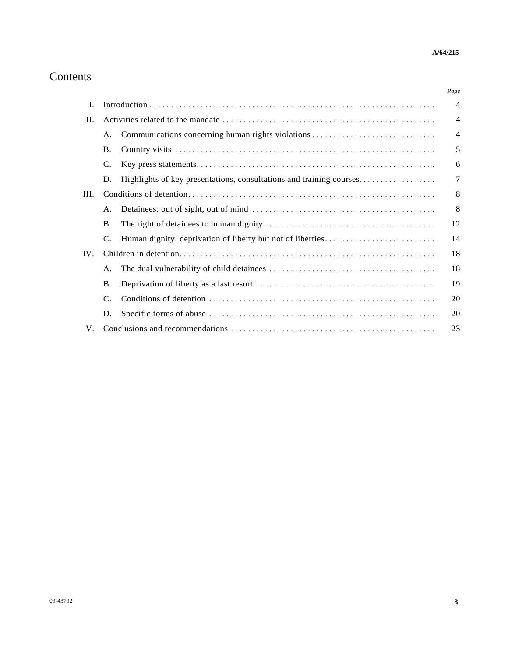# Contents

|      |           |                                                                     | Page           |
|------|-----------|---------------------------------------------------------------------|----------------|
| Ι.   |           |                                                                     | $\overline{4}$ |
| H.   |           |                                                                     | $\overline{4}$ |
|      | A.        |                                                                     | $\overline{4}$ |
|      | <b>B.</b> |                                                                     | 5              |
|      | C.        |                                                                     | 6              |
|      | D.        | Highlights of key presentations, consultations and training courses | 7              |
| III. |           |                                                                     | 8              |
|      | A.        |                                                                     | 8              |
|      | <b>B.</b> |                                                                     | 12             |
|      |           |                                                                     | 14             |
| IV.  |           |                                                                     | 18             |
|      | A.        |                                                                     | 18             |
|      | Β.        |                                                                     | 19             |
|      | C.        |                                                                     | 20             |
|      | D.        |                                                                     | 20             |
| V.   |           |                                                                     | 23             |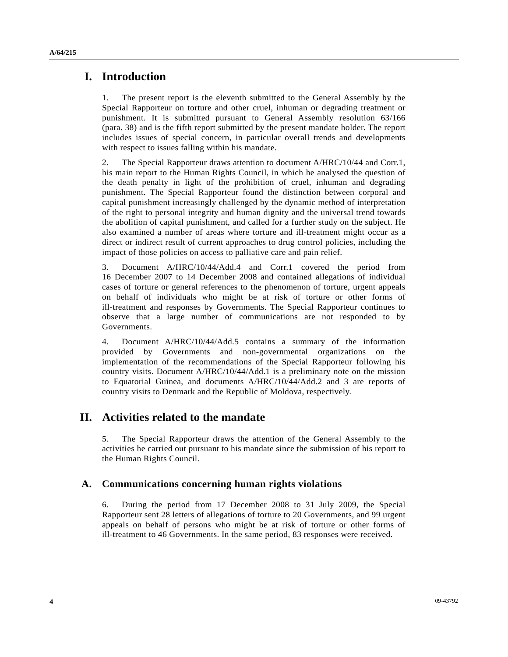## **I. Introduction**

1. The present report is the eleventh submitted to the General Assembly by the Special Rapporteur on torture and other cruel, inhuman or degrading treatment or punishment. It is submitted pursuant to General Assembly resolution 63/166 (para. 38) and is the fifth report submitted by the present mandate holder. The report includes issues of special concern, in particular overall trends and developments with respect to issues falling within his mandate.

2. The Special Rapporteur draws attention to document A/HRC/10/44 and Corr.1, his main report to the Human Rights Council, in which he analysed the question of the death penalty in light of the prohibition of cruel, inhuman and degrading punishment. The Special Rapporteur found the distinction between corporal and capital punishment increasingly challenged by the dynamic method of interpretation of the right to personal integrity and human dignity and the universal trend towards the abolition of capital punishment, and called for a further study on the subject. He also examined a number of areas where torture and ill-treatment might occur as a direct or indirect result of current approaches to drug control policies, including the impact of those policies on access to palliative care and pain relief.

3. Document A/HRC/10/44/Add.4 and Corr.1 covered the period from 16 December 2007 to 14 December 2008 and contained allegations of individual cases of torture or general references to the phenomenon of torture, urgent appeals on behalf of individuals who might be at risk of torture or other forms of ill-treatment and responses by Governments. The Special Rapporteur continues to observe that a large number of communications are not responded to by Governments.

4. Document A/HRC/10/44/Add.5 contains a summary of the information provided by Governments and non-governmental organizations on the implementation of the recommendations of the Special Rapporteur following his country visits. Document A/HRC/10/44/Add.1 is a preliminary note on the mission to Equatorial Guinea, and documents A/HRC/10/44/Add.2 and 3 are reports of country visits to Denmark and the Republic of Moldova, respectively.

# **II. Activities related to the mandate**

5. The Special Rapporteur draws the attention of the General Assembly to the activities he carried out pursuant to his mandate since the submission of his report to the Human Rights Council.

## **A. Communications concerning human rights violations**

6. During the period from 17 December 2008 to 31 July 2009, the Special Rapporteur sent 28 letters of allegations of torture to 20 Governments, and 99 urgent appeals on behalf of persons who might be at risk of torture or other forms of ill-treatment to 46 Governments. In the same period, 83 responses were received.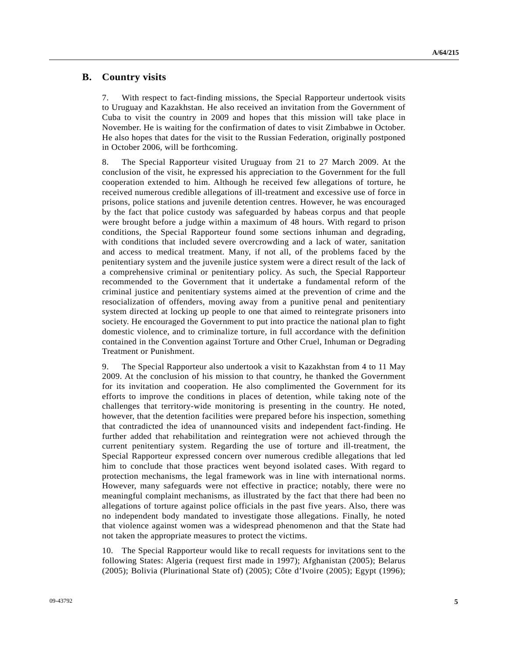### **B. Country visits**

7. With respect to fact-finding missions, the Special Rapporteur undertook visits to Uruguay and Kazakhstan. He also received an invitation from the Government of Cuba to visit the country in 2009 and hopes that this mission will take place in November. He is waiting for the confirmation of dates to visit Zimbabwe in October. He also hopes that dates for the visit to the Russian Federation, originally postponed in October 2006, will be forthcoming.

8. The Special Rapporteur visited Uruguay from 21 to 27 March 2009. At the conclusion of the visit, he expressed his appreciation to the Government for the full cooperation extended to him. Although he received few allegations of torture, he received numerous credible allegations of ill-treatment and excessive use of force in prisons, police stations and juvenile detention centres. However, he was encouraged by the fact that police custody was safeguarded by habeas corpus and that people were brought before a judge within a maximum of 48 hours. With regard to prison conditions, the Special Rapporteur found some sections inhuman and degrading, with conditions that included severe overcrowding and a lack of water, sanitation and access to medical treatment. Many, if not all, of the problems faced by the penitentiary system and the juvenile justice system were a direct result of the lack of a comprehensive criminal or penitentiary policy. As such, the Special Rapporteur recommended to the Government that it undertake a fundamental reform of the criminal justice and penitentiary systems aimed at the prevention of crime and the resocialization of offenders, moving away from a punitive penal and penitentiary system directed at locking up people to one that aimed to reintegrate prisoners into society. He encouraged the Government to put into practice the national plan to fight domestic violence, and to criminalize torture, in full accordance with the definition contained in the Convention against Torture and Other Cruel, Inhuman or Degrading Treatment or Punishment.

9. The Special Rapporteur also undertook a visit to Kazakhstan from 4 to 11 May 2009. At the conclusion of his mission to that country, he thanked the Government for its invitation and cooperation. He also complimented the Government for its efforts to improve the conditions in places of detention, while taking note of the challenges that territory-wide monitoring is presenting in the country. He noted, however, that the detention facilities were prepared before his inspection, something that contradicted the idea of unannounced visits and independent fact-finding. He further added that rehabilitation and reintegration were not achieved through the current penitentiary system. Regarding the use of torture and ill-treatment, the Special Rapporteur expressed concern over numerous credible allegations that led him to conclude that those practices went beyond isolated cases. With regard to protection mechanisms, the legal framework was in line with international norms. However, many safeguards were not effective in practice; notably, there were no meaningful complaint mechanisms, as illustrated by the fact that there had been no allegations of torture against police officials in the past five years. Also, there was no independent body mandated to investigate those allegations. Finally, he noted that violence against women was a widespread phenomenon and that the State had not taken the appropriate measures to protect the victims.

10. The Special Rapporteur would like to recall requests for invitations sent to the following States: Algeria (request first made in 1997); Afghanistan (2005); Belarus (2005); Bolivia (Plurinational State of) (2005); Côte d'Ivoire (2005); Egypt (1996);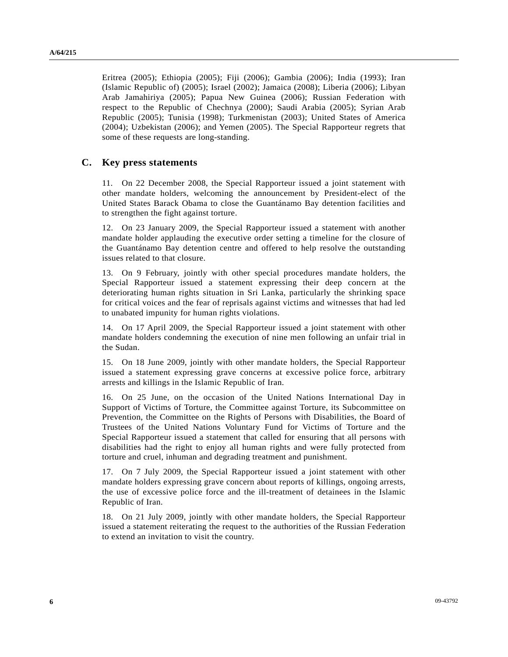Eritrea (2005); Ethiopia (2005); Fiji (2006); Gambia (2006); India (1993); Iran (Islamic Republic of) (2005); Israel (2002); Jamaica (2008); Liberia (2006); Libyan Arab Jamahiriya (2005); Papua New Guinea (2006); Russian Federation with respect to the Republic of Chechnya (2000); Saudi Arabia (2005); Syrian Arab Republic (2005); Tunisia (1998); Turkmenistan (2003); United States of America (2004); Uzbekistan (2006); and Yemen (2005). The Special Rapporteur regrets that some of these requests are long-standing.

### **C. Key press statements**

11. On 22 December 2008, the Special Rapporteur issued a joint statement with other mandate holders, welcoming the announcement by President-elect of the United States Barack Obama to close the Guantánamo Bay detention facilities and to strengthen the fight against torture.

12. On 23 January 2009, the Special Rapporteur issued a statement with another mandate holder applauding the executive order setting a timeline for the closure of the Guantánamo Bay detention centre and offered to help resolve the outstanding issues related to that closure.

13. On 9 February, jointly with other special procedures mandate holders, the Special Rapporteur issued a statement expressing their deep concern at the deteriorating human rights situation in Sri Lanka, particularly the shrinking space for critical voices and the fear of reprisals against victims and witnesses that had led to unabated impunity for human rights violations.

14. On 17 April 2009, the Special Rapporteur issued a joint statement with other mandate holders condemning the execution of nine men following an unfair trial in the Sudan.

15. On 18 June 2009, jointly with other mandate holders, the Special Rapporteur issued a statement expressing grave concerns at excessive police force, arbitrary arrests and killings in the Islamic Republic of Iran.

16. On 25 June, on the occasion of the United Nations International Day in Support of Victims of Torture, the Committee against Torture, its Subcommittee on Prevention, the Committee on the Rights of Persons with Disabilities, the Board of Trustees of the United Nations Voluntary Fund for Victims of Torture and the Special Rapporteur issued a statement that called for ensuring that all persons with disabilities had the right to enjoy all human rights and were fully protected from torture and cruel, inhuman and degrading treatment and punishment.

17. On 7 July 2009, the Special Rapporteur issued a joint statement with other mandate holders expressing grave concern about reports of killings, ongoing arrests, the use of excessive police force and the ill-treatment of detainees in the Islamic Republic of Iran.

18. On 21 July 2009, jointly with other mandate holders, the Special Rapporteur issued a statement reiterating the request to the authorities of the Russian Federation to extend an invitation to visit the country.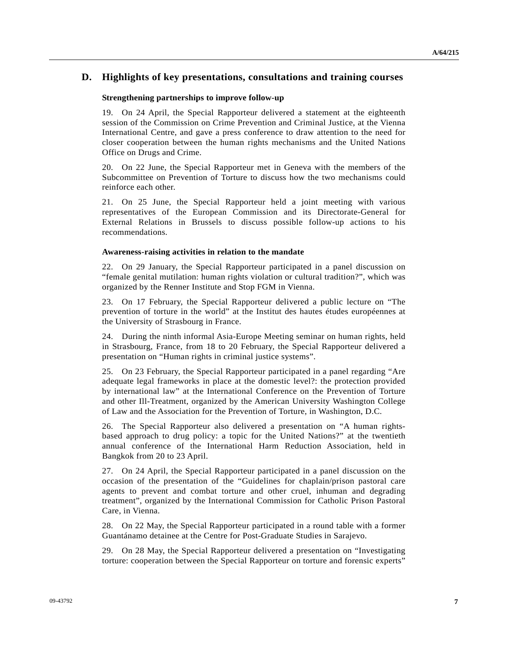### **D. Highlights of key presentations, consultations and training courses**

#### **Strengthening partnerships to improve follow-up**

19. On 24 April, the Special Rapporteur delivered a statement at the eighteenth session of the Commission on Crime Prevention and Criminal Justice, at the Vienna International Centre, and gave a press conference to draw attention to the need for closer cooperation between the human rights mechanisms and the United Nations Office on Drugs and Crime.

20. On 22 June, the Special Rapporteur met in Geneva with the members of the Subcommittee on Prevention of Torture to discuss how the two mechanisms could reinforce each other.

21. On 25 June, the Special Rapporteur held a joint meeting with various representatives of the European Commission and its Directorate-General for External Relations in Brussels to discuss possible follow-up actions to his recommendations.

#### **Awareness-raising activities in relation to the mandate**

22. On 29 January, the Special Rapporteur participated in a panel discussion on "female genital mutilation: human rights violation or cultural tradition?", which was organized by the Renner Institute and Stop FGM in Vienna.

23. On 17 February, the Special Rapporteur delivered a public lecture on "The prevention of torture in the world" at the Institut des hautes études européennes at the University of Strasbourg in France.

24. During the ninth informal Asia-Europe Meeting seminar on human rights, held in Strasbourg, France, from 18 to 20 February, the Special Rapporteur delivered a presentation on "Human rights in criminal justice systems".

25. On 23 February, the Special Rapporteur participated in a panel regarding "Are adequate legal frameworks in place at the domestic level?: the protection provided by international law" at the International Conference on the Prevention of Torture and other Ill-Treatment, organized by the American University Washington College of Law and the Association for the Prevention of Torture, in Washington, D.C.

26. The Special Rapporteur also delivered a presentation on "A human rightsbased approach to drug policy: a topic for the United Nations?" at the twentieth annual conference of the International Harm Reduction Association, held in Bangkok from 20 to 23 April.

27. On 24 April, the Special Rapporteur participated in a panel discussion on the occasion of the presentation of the "Guidelines for chaplain/prison pastoral care agents to prevent and combat torture and other cruel, inhuman and degrading treatment", organized by the International Commission for Catholic Prison Pastoral Care, in Vienna.

28. On 22 May, the Special Rapporteur participated in a round table with a former Guantánamo detainee at the Centre for Post-Graduate Studies in Sarajevo.

29. On 28 May, the Special Rapporteur delivered a presentation on "Investigating torture: cooperation between the Special Rapporteur on torture and forensic experts"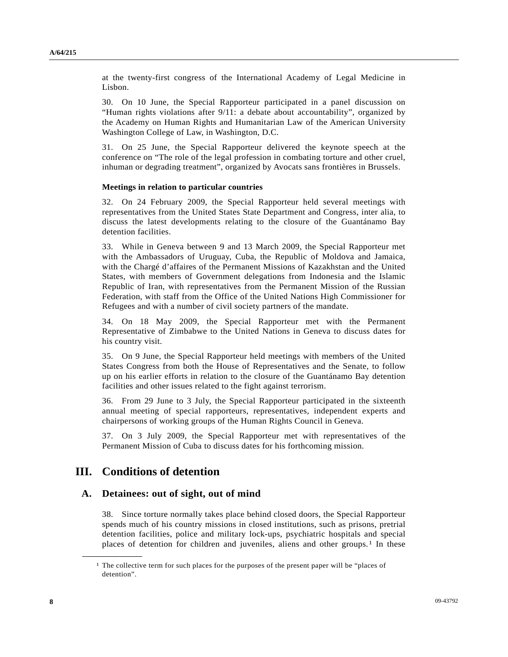at the twenty-first congress of the International Academy of Legal Medicine in Lisbon.

30. On 10 June, the Special Rapporteur participated in a panel discussion on "Human rights violations after 9/11: a debate about accountability", organized by the Academy on Human Rights and Humanitarian Law of the American University Washington College of Law, in Washington, D.C.

31. On 25 June, the Special Rapporteur delivered the keynote speech at the conference on "The role of the legal profession in combating torture and other cruel, inhuman or degrading treatment", organized by Avocats sans frontières in Brussels.

#### **Meetings in relation to particular countries**

32. On 24 February 2009, the Special Rapporteur held several meetings with representatives from the United States State Department and Congress, inter alia, to discuss the latest developments relating to the closure of the Guantánamo Bay detention facilities.

33. While in Geneva between 9 and 13 March 2009, the Special Rapporteur met with the Ambassadors of Uruguay, Cuba, the Republic of Moldova and Jamaica, with the Chargé d'affaires of the Permanent Missions of Kazakhstan and the United States, with members of Government delegations from Indonesia and the Islamic Republic of Iran, with representatives from the Permanent Mission of the Russian Federation, with staff from the Office of the United Nations High Commissioner for Refugees and with a number of civil society partners of the mandate.

34. On 18 May 2009, the Special Rapporteur met with the Permanent Representative of Zimbabwe to the United Nations in Geneva to discuss dates for his country visit.

35. On 9 June, the Special Rapporteur held meetings with members of the United States Congress from both the House of Representatives and the Senate, to follow up on his earlier efforts in relation to the closure of the Guantánamo Bay detention facilities and other issues related to the fight against terrorism.

36. From 29 June to 3 July, the Special Rapporteur participated in the sixteenth annual meeting of special rapporteurs, representatives, independent experts and chairpersons of working groups of the Human Rights Council in Geneva.

37. On 3 July 2009, the Special Rapporteur met with representatives of the Permanent Mission of Cuba to discuss dates for his forthcoming mission.

## **III. Conditions of detention**

<span id="page-7-0"></span>**\_\_\_\_\_\_\_\_\_\_\_\_\_\_\_\_\_\_** 

### **A. Detainees: out of sight, out of mind**

38. Since torture normally takes place behind closed doors, the Special Rapporteur spends much of his country missions in closed institutions, such as prisons, pretrial detention facilities, police and military lock-ups, psychiatric hospitals and special places of detention for children and juveniles, aliens and other groups.<sup>1</sup> In these

<sup>&</sup>lt;sup>1</sup> The collective term for such places for the purposes of the present paper will be "places of detention".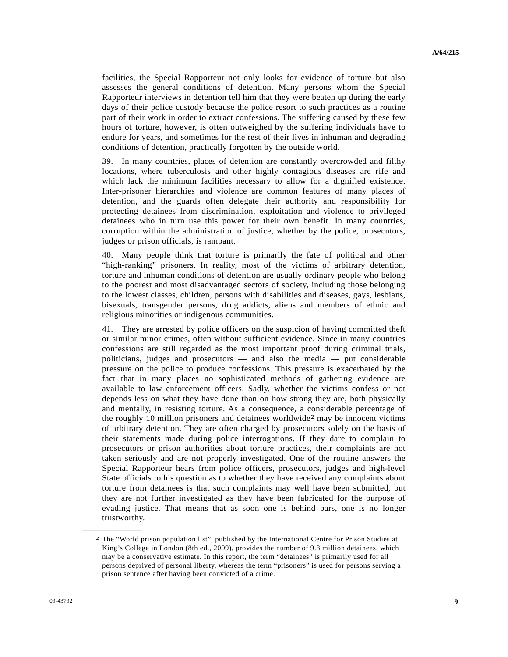facilities, the Special Rapporteur not only looks for evidence of torture but also assesses the general conditions of detention. Many persons whom the Special Rapporteur interviews in detention tell him that they were beaten up during the early days of their police custody because the police resort to such practices as a routine part of their work in order to extract confessions. The suffering caused by these few hours of torture, however, is often outweighed by the suffering individuals have to endure for years, and sometimes for the rest of their lives in inhuman and degrading conditions of detention, practically forgotten by the outside world.

39. In many countries, places of detention are constantly overcrowded and filthy locations, where tuberculosis and other highly contagious diseases are rife and which lack the minimum facilities necessary to allow for a dignified existence. Inter-prisoner hierarchies and violence are common features of many places of detention, and the guards often delegate their authority and responsibility for protecting detainees from discrimination, exploitation and violence to privileged detainees who in turn use this power for their own benefit. In many countries, corruption within the administration of justice, whether by the police, prosecutors, judges or prison officials, is rampant.

40. Many people think that torture is primarily the fate of political and other "high-ranking" prisoners. In reality, most of the victims of arbitrary detention, torture and inhuman conditions of detention are usually ordinary people who belong to the poorest and most disadvantaged sectors of society, including those belonging to the lowest classes, children, persons with disabilities and diseases, gays, lesbians, bisexuals, transgender persons, drug addicts, aliens and members of ethnic and religious minorities or indigenous communities.

41. They are arrested by police officers on the suspicion of having committed theft or similar minor crimes, often without sufficient evidence. Since in many countries confessions are still regarded as the most important proof during criminal trials, politicians, judges and prosecutors — and also the media — put considerable pressure on the police to produce confessions. This pressure is exacerbated by the fact that in many places no sophisticated methods of gathering evidence are available to law enforcement officers. Sadly, whether the victims confess or not depends less on what they have done than on how strong they are, both physically and mentally, in resisting torture. As a consequence, a considerable percentage of the roughly 10 million prisoners and detainees worldwide[2](#page-8-0) may be innocent victims of arbitrary detention. They are often charged by prosecutors solely on the basis of their statements made during police interrogations. If they dare to complain to prosecutors or prison authorities about torture practices, their complaints are not taken seriously and are not properly investigated. One of the routine answers the Special Rapporteur hears from police officers, prosecutors, judges and high-level State officials to his question as to whether they have received any complaints about torture from detainees is that such complaints may well have been submitted, but they are not further investigated as they have been fabricated for the purpose of evading justice. That means that as soon one is behind bars, one is no longer trustworthy.

<span id="page-8-0"></span><sup>2</sup> The "World prison population list", published by the International Centre for Prison Studies at King's College in London (8th ed., 2009), provides the number of 9.8 million detainees, which may be a conservative estimate. In this report, the term "detainees" is primarily used for all persons deprived of personal liberty, whereas the term "prisoners" is used for persons serving a prison sentence after having been convicted of a crime.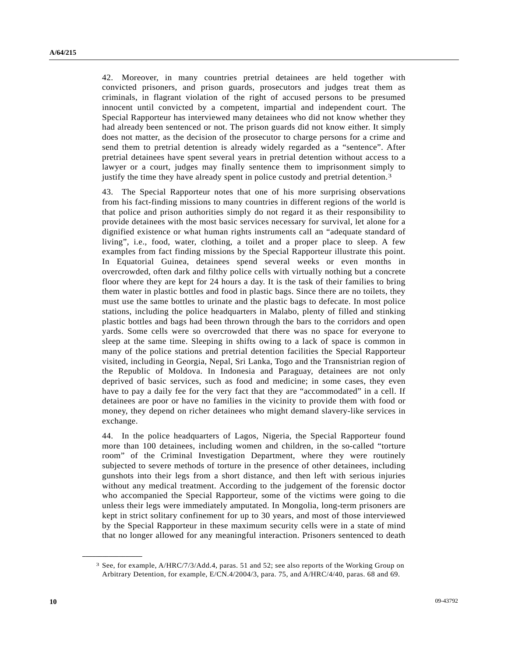42. Moreover, in many countries pretrial detainees are held together with convicted prisoners, and prison guards, prosecutors and judges treat them as criminals, in flagrant violation of the right of accused persons to be presumed innocent until convicted by a competent, impartial and independent court. The Special Rapporteur has interviewed many detainees who did not know whether they had already been sentenced or not. The prison guards did not know either. It simply does not matter, as the decision of the prosecutor to charge persons for a crime and send them to pretrial detention is already widely regarded as a "sentence". After pretrial detainees have spent several years in pretrial detention without access to a lawyer or a court, judges may finally sentence them to imprisonment simply to justify the time they have already spent in police custody and pretrial detention.<sup>[3](#page-9-0)</sup>

43. The Special Rapporteur notes that one of his more surprising observations from his fact-finding missions to many countries in different regions of the world is that police and prison authorities simply do not regard it as their responsibility to provide detainees with the most basic services necessary for survival, let alone for a dignified existence or what human rights instruments call an "adequate standard of living", i.e., food, water, clothing, a toilet and a proper place to sleep. A few examples from fact finding missions by the Special Rapporteur illustrate this point. In Equatorial Guinea, detainees spend several weeks or even months in overcrowded, often dark and filthy police cells with virtually nothing but a concrete floor where they are kept for 24 hours a day. It is the task of their families to bring them water in plastic bottles and food in plastic bags. Since there are no toilets, they must use the same bottles to urinate and the plastic bags to defecate. In most police stations, including the police headquarters in Malabo, plenty of filled and stinking plastic bottles and bags had been thrown through the bars to the corridors and open yards. Some cells were so overcrowded that there was no space for everyone to sleep at the same time. Sleeping in shifts owing to a lack of space is common in many of the police stations and pretrial detention facilities the Special Rapporteur visited, including in Georgia, Nepal, Sri Lanka, Togo and the Transnistrian region of the Republic of Moldova. In Indonesia and Paraguay, detainees are not only deprived of basic services, such as food and medicine; in some cases, they even have to pay a daily fee for the very fact that they are "accommodated" in a cell. If detainees are poor or have no families in the vicinity to provide them with food or money, they depend on richer detainees who might demand slavery-like services in exchange.

44. In the police headquarters of Lagos, Nigeria, the Special Rapporteur found more than 100 detainees, including women and children, in the so-called "torture room" of the Criminal Investigation Department, where they were routinely subjected to severe methods of torture in the presence of other detainees, including gunshots into their legs from a short distance, and then left with serious injuries without any medical treatment. According to the judgement of the forensic doctor who accompanied the Special Rapporteur, some of the victims were going to die unless their legs were immediately amputated. In Mongolia, long-term prisoners are kept in strict solitary confinement for up to 30 years, and most of those interviewed by the Special Rapporteur in these maximum security cells were in a state of mind that no longer allowed for any meaningful interaction. Prisoners sentenced to death

<span id="page-9-0"></span><sup>3</sup> See, for example, A/HRC/7/3/Add.4, paras. 51 and 52; see also reports of the Working Group on Arbitrary Detention, for example, E/CN.4/2004/3, para. 75, and A/HRC/4/40, paras. 68 and 69.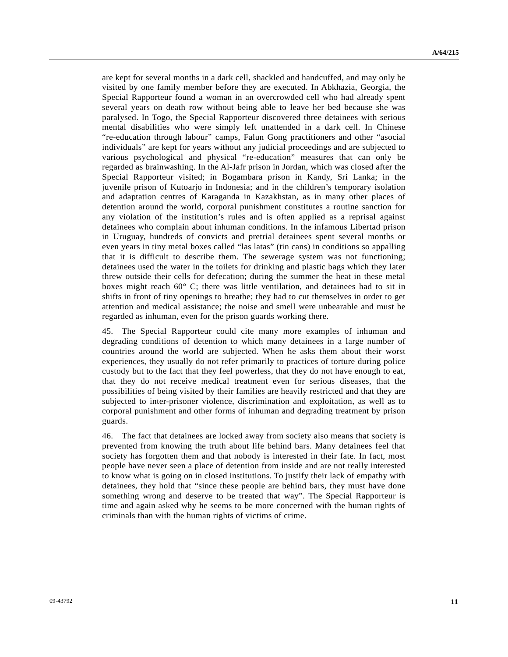are kept for several months in a dark cell, shackled and handcuffed, and may only be visited by one family member before they are executed. In Abkhazia, Georgia, the Special Rapporteur found a woman in an overcrowded cell who had already spent several years on death row without being able to leave her bed because she was paralysed. In Togo, the Special Rapporteur discovered three detainees with serious mental disabilities who were simply left unattended in a dark cell. In Chinese "re-education through labour" camps, Falun Gong practitioners and other "asocial individuals" are kept for years without any judicial proceedings and are subjected to various psychological and physical "re-education" measures that can only be regarded as brainwashing. In the Al-Jafr prison in Jordan, which was closed after the Special Rapporteur visited; in Bogambara prison in Kandy, Sri Lanka; in the juvenile prison of Kutoarjo in Indonesia; and in the children's temporary isolation and adaptation centres of Karaganda in Kazakhstan, as in many other places of detention around the world, corporal punishment constitutes a routine sanction for any violation of the institution's rules and is often applied as a reprisal against detainees who complain about inhuman conditions. In the infamous Libertad prison in Uruguay, hundreds of convicts and pretrial detainees spent several months or even years in tiny metal boxes called "las latas" (tin cans) in conditions so appalling that it is difficult to describe them. The sewerage system was not functioning; detainees used the water in the toilets for drinking and plastic bags which they later threw outside their cells for defecation; during the summer the heat in these metal boxes might reach 60° C; there was little ventilation, and detainees had to sit in shifts in front of tiny openings to breathe; they had to cut themselves in order to get attention and medical assistance; the noise and smell were unbearable and must be regarded as inhuman, even for the prison guards working there.

45. The Special Rapporteur could cite many more examples of inhuman and degrading conditions of detention to which many detainees in a large number of countries around the world are subjected. When he asks them about their worst experiences, they usually do not refer primarily to practices of torture during police custody but to the fact that they feel powerless, that they do not have enough to eat, that they do not receive medical treatment even for serious diseases, that the possibilities of being visited by their families are heavily restricted and that they are subjected to inter-prisoner violence, discrimination and exploitation, as well as to corporal punishment and other forms of inhuman and degrading treatment by prison guards.

46. The fact that detainees are locked away from society also means that society is prevented from knowing the truth about life behind bars. Many detainees feel that society has forgotten them and that nobody is interested in their fate. In fact, most people have never seen a place of detention from inside and are not really interested to know what is going on in closed institutions. To justify their lack of empathy with detainees, they hold that "since these people are behind bars, they must have done something wrong and deserve to be treated that way". The Special Rapporteur is time and again asked why he seems to be more concerned with the human rights of criminals than with the human rights of victims of crime.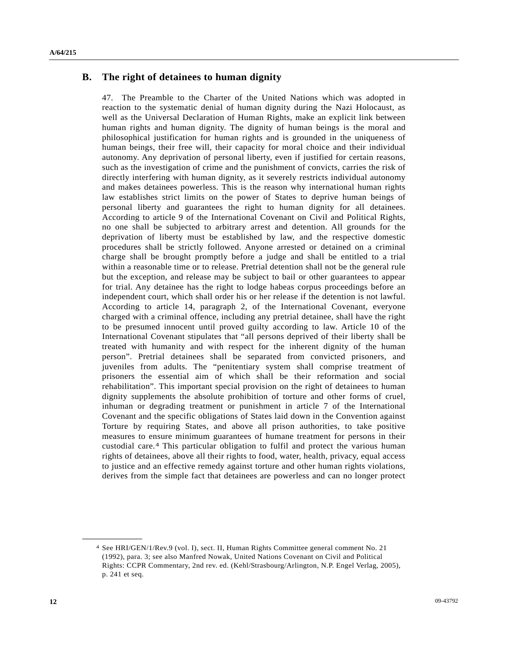### **B. The right of detainees to human dignity**

47. The Preamble to the Charter of the United Nations which was adopted in reaction to the systematic denial of human dignity during the Nazi Holocaust, as well as the Universal Declaration of Human Rights, make an explicit link between human rights and human dignity. The dignity of human beings is the moral and philosophical justification for human rights and is grounded in the uniqueness of human beings, their free will, their capacity for moral choice and their individual autonomy. Any deprivation of personal liberty, even if justified for certain reasons, such as the investigation of crime and the punishment of convicts, carries the risk of directly interfering with human dignity, as it severely restricts individual autonomy and makes detainees powerless. This is the reason why international human rights law establishes strict limits on the power of States to deprive human beings of personal liberty and guarantees the right to human dignity for all detainees. According to article 9 of the International Covenant on Civil and Political Rights, no one shall be subjected to arbitrary arrest and detention. All grounds for the deprivation of liberty must be established by law, and the respective domestic procedures shall be strictly followed. Anyone arrested or detained on a criminal charge shall be brought promptly before a judge and shall be entitled to a trial within a reasonable time or to release. Pretrial detention shall not be the general rule but the exception, and release may be subject to bail or other guarantees to appear for trial. Any detainee has the right to lodge habeas corpus proceedings before an independent court, which shall order his or her release if the detention is not lawful. According to article 14, paragraph 2, of the International Covenant, everyone charged with a criminal offence, including any pretrial detainee, shall have the right to be presumed innocent until proved guilty according to law. Article 10 of the International Covenant stipulates that "all persons deprived of their liberty shall be treated with humanity and with respect for the inherent dignity of the human person". Pretrial detainees shall be separated from convicted prisoners, and juveniles from adults. The "penitentiary system shall comprise treatment of prisoners the essential aim of which shall be their reformation and social rehabilitation". This important special provision on the right of detainees to human dignity supplements the absolute prohibition of torture and other forms of cruel, inhuman or degrading treatment or punishment in article 7 of the International Covenant and the specific obligations of States laid down in the Convention against Torture by requiring States, and above all prison authorities, to take positive measures to ensure minimum guarantees of humane treatment for persons in their custodial care.[4](#page-11-0) This particular obligation to fulfil and protect the various human rights of detainees, above all their rights to food, water, health, privacy, equal access to justice and an effective remedy against torture and other human rights violations, derives from the simple fact that detainees are powerless and can no longer protect

<span id="page-11-0"></span><sup>4</sup> See HRI/GEN/1/Rev.9 (vol. I), sect. II, Human Rights Committee general comment No. 21 (1992), para. 3; see also Manfred Nowak, United Nations Covenant on Civil and Political Rights: CCPR Commentary, 2nd rev. ed. (Kehl/Strasbourg/Arlington, N.P. Engel Verlag, 2005), p. 241 et seq.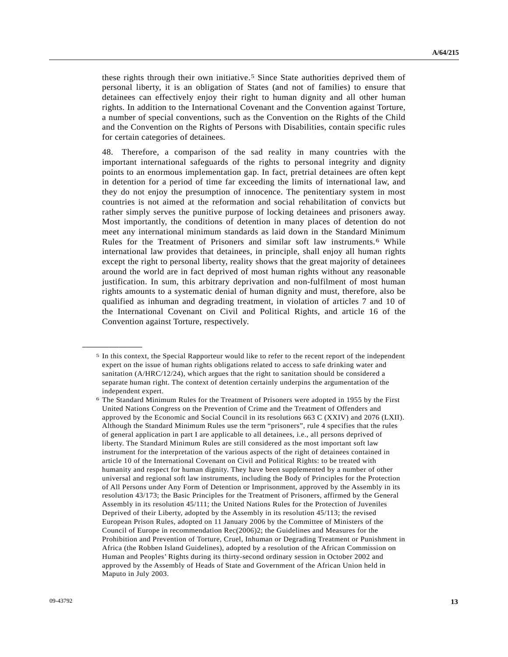these rights through their own initiative.[5](#page-12-0) Since State authorities deprived them of personal liberty, it is an obligation of States (and not of families) to ensure that detainees can effectively enjoy their right to human dignity and all other human rights. In addition to the International Covenant and the Convention against Torture, a number of special conventions, such as the Convention on the Rights of the Child and the Convention on the Rights of Persons with Disabilities, contain specific rules for certain categories of detainees.

48. Therefore, a comparison of the sad reality in many countries with the important international safeguards of the rights to personal integrity and dignity points to an enormous implementation gap. In fact, pretrial detainees are often kept in detention for a period of time far exceeding the limits of international law, and they do not enjoy the presumption of innocence. The penitentiary system in most countries is not aimed at the reformation and social rehabilitation of convicts but rather simply serves the punitive purpose of locking detainees and prisoners away. Most importantly, the conditions of detention in many places of detention do not meet any international minimum standards as laid down in the Standard Minimum Rules for the Treatment of Prisoners and similar soft law instruments.[6](#page-12-1) While international law provides that detainees, in principle, shall enjoy all human rights except the right to personal liberty, reality shows that the great majority of detainees around the world are in fact deprived of most human rights without any reasonable justification. In sum, this arbitrary deprivation and non-fulfilment of most human rights amounts to a systematic denial of human dignity and must, therefore, also be qualified as inhuman and degrading treatment, in violation of articles 7 and 10 of the International Covenant on Civil and Political Rights, and article 16 of the Convention against Torture, respectively.

<span id="page-12-0"></span><sup>5</sup> In this context, the Special Rapporteur would like to refer to the recent report of the independent expert on the issue of human rights obligations related to access to safe drinking water and sanitation (A/HRC/12/24), which argues that the right to sanitation should be considered a separate human right. The context of detention certainly underpins the argumentation of the independent expert.

<span id="page-12-1"></span><sup>6</sup> The Standard Minimum Rules for the Treatment of Prisoners were adopted in 1955 by the First United Nations Congress on the Prevention of Crime and the Treatment of Offenders and approved by the Economic and Social Council in its resolutions 663 C (XXIV) and 2076 (LXII). Although the Standard Minimum Rules use the term "prisoners", rule 4 specifies that the rules of general application in part I are applicable to all detainees, i.e., all persons deprived of liberty. The Standard Minimum Rules are still considered as the most important soft law instrument for the interpretation of the various aspects of the right of detainees contained in article 10 of the International Covenant on Civil and Political Rights: to be treated with humanity and respect for human dignity. They have been supplemented by a number of other universal and regional soft law instruments, including the Body of Principles for the Protection of All Persons under Any Form of Detention or Imprisonment, approved by the Assembly in its resolution 43/173; the Basic Principles for the Treatment of Prisoners, affirmed by the General Assembly in its resolution 45/111; the United Nations Rules for the Protection of Juveniles Deprived of their Liberty, adopted by the Assembly in its resolution 45/113; the revised European Prison Rules, adopted on 11 January 2006 by the Committee of Ministers of the Council of Europe in recommendation Rec(2006)2; the Guidelines and Measures for the Prohibition and Prevention of Torture, Cruel, Inhuman or Degrading Treatment or Punishment in Africa (the Robben Island Guidelines), adopted by a resolution of the African Commission on Human and Peoples' Rights during its thirty-second ordinary session in October 2002 and approved by the Assembly of Heads of State and Government of the African Union held in Maputo in July 2003.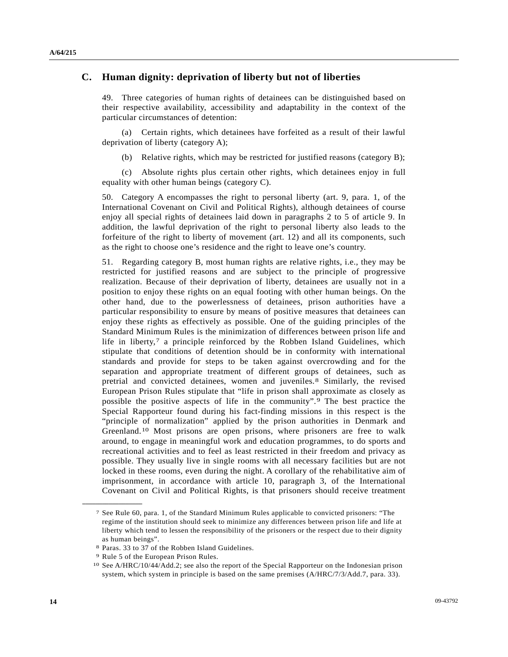### **C. Human dignity: deprivation of liberty but not of liberties**

49. Three categories of human rights of detainees can be distinguished based on their respective availability, accessibility and adaptability in the context of the particular circumstances of detention:

 (a) Certain rights, which detainees have forfeited as a result of their lawful deprivation of liberty (category A);

(b) Relative rights, which may be restricted for justified reasons (category B);

 (c) Absolute rights plus certain other rights, which detainees enjoy in full equality with other human beings (category C).

50. Category A encompasses the right to personal liberty (art. 9, para. 1, of the International Covenant on Civil and Political Rights), although detainees of course enjoy all special rights of detainees laid down in paragraphs 2 to 5 of article 9. In addition, the lawful deprivation of the right to personal liberty also leads to the forfeiture of the right to liberty of movement (art. 12) and all its components, such as the right to choose one's residence and the right to leave one's country.

51. Regarding category B, most human rights are relative rights, i.e., they may be restricted for justified reasons and are subject to the principle of progressive realization. Because of their deprivation of liberty, detainees are usually not in a position to enjoy these rights on an equal footing with other human beings. On the other hand, due to the powerlessness of detainees, prison authorities have a particular responsibility to ensure by means of positive measures that detainees can enjoy these rights as effectively as possible. One of the guiding principles of the Standard Minimum Rules is the minimization of differences between prison life and life in liberty, $7$  a principle reinforced by the Robben Island Guidelines, which stipulate that conditions of detention should be in conformity with international standards and provide for steps to be taken against overcrowding and for the separation and appropriate treatment of different groups of detainees, such as pretrial and convicted detainees, women and juveniles.[8](#page-13-1) Similarly, the revised European Prison Rules stipulate that "life in prison shall approximate as closely as possible the positive aspects of life in the community".[9](#page-13-2) The best practice the Special Rapporteur found during his fact-finding missions in this respect is the "principle of normalization" applied by the prison authorities in Denmark and Greenland.[1](#page-13-3)0 Most prisons are open prisons, where prisoners are free to walk around, to engage in meaningful work and education programmes, to do sports and recreational activities and to feel as least restricted in their freedom and privacy as possible. They usually live in single rooms with all necessary facilities but are not locked in these rooms, even during the night. A corollary of the rehabilitative aim of imprisonment, in accordance with article 10, paragraph 3, of the International Covenant on Civil and Political Rights, is that prisoners should receive treatment

<span id="page-13-0"></span><sup>7</sup> See Rule 60, para. 1, of the Standard Minimum Rules applicable to convicted prisoners: "The regime of the institution should seek to minimize any differences between prison life and life at liberty which tend to lessen the responsibility of the prisoners or the respect due to their dignity as human beings".

<sup>8</sup> Paras. 33 to 37 of the Robben Island Guidelines. 9 Rule 5 of the European Prison Rules.

<span id="page-13-1"></span>

<span id="page-13-3"></span><span id="page-13-2"></span><sup>10</sup> See A/HRC/10/44/Add.2; see also the report of the Special Rapporteur on the Indonesian prison system, which system in principle is based on the same premises (A/HRC/7/3/Add.7, para. 33).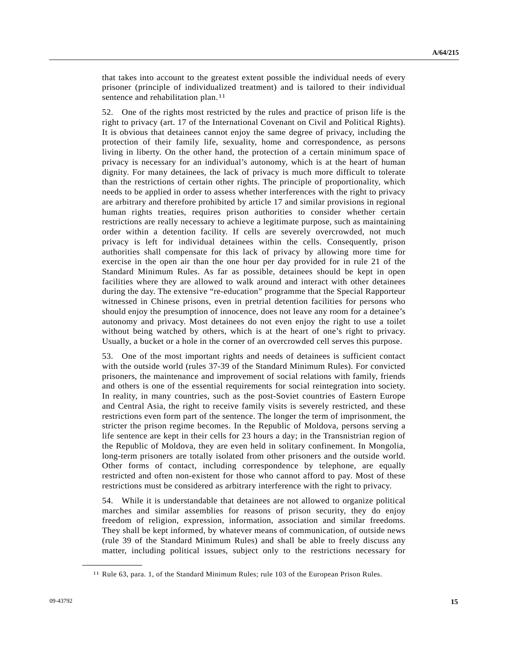that takes into account to the greatest extent possible the individual needs of every prisoner (principle of individualized treatment) and is tailored to their individual sentence and rehabilitation plan.<sup>[11](#page-14-0)</sup>

52. One of the rights most restricted by the rules and practice of prison life is the right to privacy (art. 17 of the International Covenant on Civil and Political Rights). It is obvious that detainees cannot enjoy the same degree of privacy, including the protection of their family life, sexuality, home and correspondence, as persons living in liberty. On the other hand, the protection of a certain minimum space of privacy is necessary for an individual's autonomy, which is at the heart of human dignity. For many detainees, the lack of privacy is much more difficult to tolerate than the restrictions of certain other rights. The principle of proportionality, which needs to be applied in order to assess whether interferences with the right to privacy are arbitrary and therefore prohibited by article 17 and similar provisions in regional human rights treaties, requires prison authorities to consider whether certain restrictions are really necessary to achieve a legitimate purpose, such as maintaining order within a detention facility. If cells are severely overcrowded, not much privacy is left for individual detainees within the cells. Consequently, prison authorities shall compensate for this lack of privacy by allowing more time for exercise in the open air than the one hour per day provided for in rule 21 of the Standard Minimum Rules. As far as possible, detainees should be kept in open facilities where they are allowed to walk around and interact with other detainees during the day. The extensive "re-education" programme that the Special Rapporteur witnessed in Chinese prisons, even in pretrial detention facilities for persons who should enjoy the presumption of innocence, does not leave any room for a detainee's autonomy and privacy. Most detainees do not even enjoy the right to use a toilet without being watched by others, which is at the heart of one's right to privacy. Usually, a bucket or a hole in the corner of an overcrowded cell serves this purpose.

53. One of the most important rights and needs of detainees is sufficient contact with the outside world (rules 37-39 of the Standard Minimum Rules). For convicted prisoners, the maintenance and improvement of social relations with family, friends and others is one of the essential requirements for social reintegration into society. In reality, in many countries, such as the post-Soviet countries of Eastern Europe and Central Asia, the right to receive family visits is severely restricted, and these restrictions even form part of the sentence. The longer the term of imprisonment, the stricter the prison regime becomes. In the Republic of Moldova, persons serving a life sentence are kept in their cells for 23 hours a day; in the Transnistrian region of the Republic of Moldova, they are even held in solitary confinement. In Mongolia, long-term prisoners are totally isolated from other prisoners and the outside world. Other forms of contact, including correspondence by telephone, are equally restricted and often non-existent for those who cannot afford to pay. Most of these restrictions must be considered as arbitrary interference with the right to privacy.

54. While it is understandable that detainees are not allowed to organize political marches and similar assemblies for reasons of prison security, they do enjoy freedom of religion, expression, information, association and similar freedoms. They shall be kept informed, by whatever means of communication, of outside news (rule 39 of the Standard Minimum Rules) and shall be able to freely discuss any matter, including political issues, subject only to the restrictions necessary for

<span id="page-14-0"></span><sup>11</sup> Rule 63, para. 1, of the Standard Minimum Rules; rule 103 of the European Prison Rules.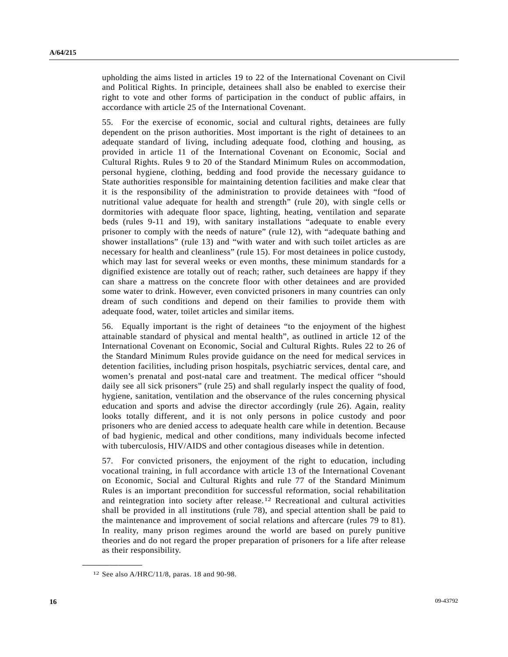upholding the aims listed in articles 19 to 22 of the International Covenant on Civil and Political Rights. In principle, detainees shall also be enabled to exercise their right to vote and other forms of participation in the conduct of public affairs, in accordance with article 25 of the International Covenant.

55. For the exercise of economic, social and cultural rights, detainees are fully dependent on the prison authorities. Most important is the right of detainees to an adequate standard of living, including adequate food, clothing and housing, as provided in article 11 of the International Covenant on Economic, Social and Cultural Rights. Rules 9 to 20 of the Standard Minimum Rules on accommodation, personal hygiene, clothing, bedding and food provide the necessary guidance to State authorities responsible for maintaining detention facilities and make clear that it is the responsibility of the administration to provide detainees with "food of nutritional value adequate for health and strength" (rule 20), with single cells or dormitories with adequate floor space, lighting, heating, ventilation and separate beds (rules 9-11 and 19), with sanitary installations "adequate to enable every prisoner to comply with the needs of nature" (rule 12), with "adequate bathing and shower installations" (rule 13) and "with water and with such toilet articles as are necessary for health and cleanliness" (rule 15). For most detainees in police custody, which may last for several weeks or even months, these minimum standards for a dignified existence are totally out of reach; rather, such detainees are happy if they can share a mattress on the concrete floor with other detainees and are provided some water to drink. However, even convicted prisoners in many countries can only dream of such conditions and depend on their families to provide them with adequate food, water, toilet articles and similar items.

56. Equally important is the right of detainees "to the enjoyment of the highest attainable standard of physical and mental health", as outlined in article 12 of the International Covenant on Economic, Social and Cultural Rights. Rules 22 to 26 of the Standard Minimum Rules provide guidance on the need for medical services in detention facilities, including prison hospitals, psychiatric services, dental care, and women's prenatal and post-natal care and treatment. The medical officer "should daily see all sick prisoners" (rule 25) and shall regularly inspect the quality of food, hygiene, sanitation, ventilation and the observance of the rules concerning physical education and sports and advise the director accordingly (rule 26). Again, reality looks totally different, and it is not only persons in police custody and poor prisoners who are denied access to adequate health care while in detention. Because of bad hygienic, medical and other conditions, many individuals become infected with tuberculosis, HIV/AIDS and other contagious diseases while in detention.

57. For convicted prisoners, the enjoyment of the right to education, including vocational training, in full accordance with article 13 of the International Covenant on Economic, Social and Cultural Rights and rule 77 of the Standard Minimum Rules is an important precondition for successful reformation, social rehabilitation and reintegration into society after release.[12](#page-15-0) Recreational and cultural activities shall be provided in all institutions (rule 78), and special attention shall be paid to the maintenance and improvement of social relations and aftercare (rules 79 to 81). In reality, many prison regimes around the world are based on purely punitive theories and do not regard the proper preparation of prisoners for a life after release as their responsibility.

<span id="page-15-0"></span><sup>12</sup> See also A/HRC/11/8, paras. 18 and 90-98.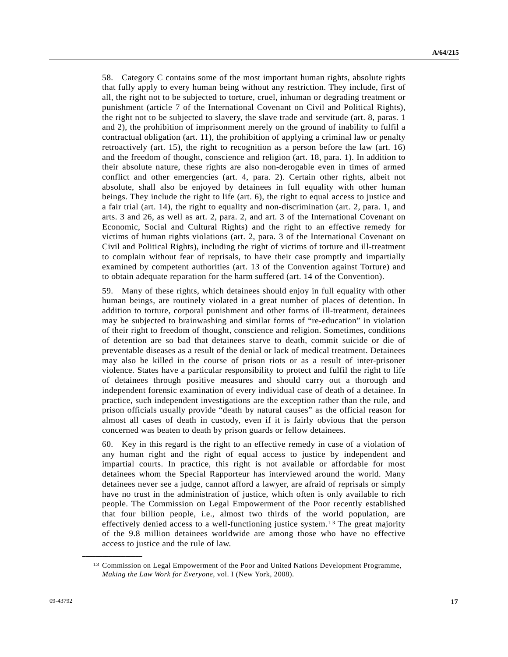58. Category C contains some of the most important human rights, absolute rights that fully apply to every human being without any restriction. They include, first of all, the right not to be subjected to torture, cruel, inhuman or degrading treatment or punishment (article 7 of the International Covenant on Civil and Political Rights), the right not to be subjected to slavery, the slave trade and servitude (art. 8, paras. 1 and 2), the prohibition of imprisonment merely on the ground of inability to fulfil a contractual obligation (art. 11), the prohibition of applying a criminal law or penalty retroactively (art. 15), the right to recognition as a person before the law (art. 16) and the freedom of thought, conscience and religion (art. 18, para. 1). In addition to their absolute nature, these rights are also non-derogable even in times of armed conflict and other emergencies (art. 4, para. 2). Certain other rights, albeit not absolute, shall also be enjoyed by detainees in full equality with other human beings. They include the right to life (art. 6), the right to equal access to justice and a fair trial (art. 14), the right to equality and non-discrimination (art. 2, para. 1, and arts. 3 and 26, as well as art. 2, para. 2, and art. 3 of the International Covenant on Economic, Social and Cultural Rights) and the right to an effective remedy for victims of human rights violations (art. 2, para. 3 of the International Covenant on Civil and Political Rights), including the right of victims of torture and ill-treatment to complain without fear of reprisals, to have their case promptly and impartially examined by competent authorities (art. 13 of the Convention against Torture) and to obtain adequate reparation for the harm suffered (art. 14 of the Convention).

59. Many of these rights, which detainees should enjoy in full equality with other human beings, are routinely violated in a great number of places of detention. In addition to torture, corporal punishment and other forms of ill-treatment, detainees may be subjected to brainwashing and similar forms of "re-education" in violation of their right to freedom of thought, conscience and religion. Sometimes, conditions of detention are so bad that detainees starve to death, commit suicide or die of preventable diseases as a result of the denial or lack of medical treatment. Detainees may also be killed in the course of prison riots or as a result of inter-prisoner violence. States have a particular responsibility to protect and fulfil the right to life of detainees through positive measures and should carry out a thorough and independent forensic examination of every individual case of death of a detainee. In practice, such independent investigations are the exception rather than the rule, and prison officials usually provide "death by natural causes" as the official reason for almost all cases of death in custody, even if it is fairly obvious that the person concerned was beaten to death by prison guards or fellow detainees.

60. Key in this regard is the right to an effective remedy in case of a violation of any human right and the right of equal access to justice by independent and impartial courts. In practice, this right is not available or affordable for most detainees whom the Special Rapporteur has interviewed around the world. Many detainees never see a judge, cannot afford a lawyer, are afraid of reprisals or simply have no trust in the administration of justice, which often is only available to rich people. The Commission on Legal Empowerment of the Poor recently established that four billion people, i.e., almost two thirds of the world population, are effectively denied access to a well-functioning justice system.[13](#page-16-0) The great majority of the 9.8 million detainees worldwide are among those who have no effective access to justice and the rule of law.

<span id="page-16-0"></span><sup>13</sup> Commission on Legal Empowerment of the Poor and United Nations Development Programme, *Making the Law Work for Everyone*, vol. I (New York, 2008).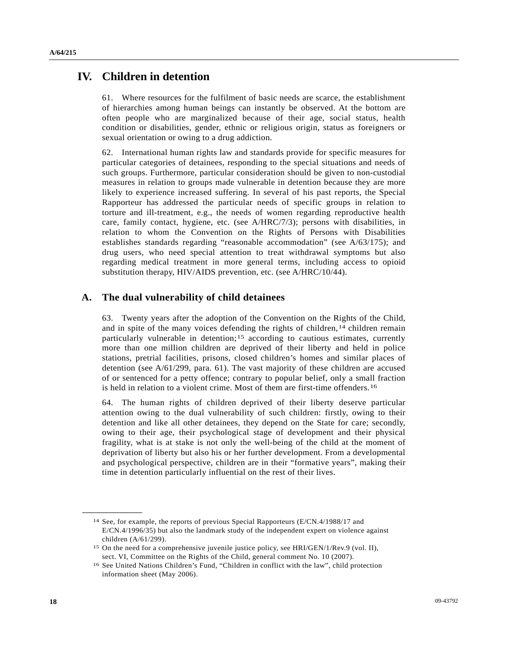## **IV. Children in detention**

61. Where resources for the fulfilment of basic needs are scarce, the establishment of hierarchies among human beings can instantly be observed. At the bottom are often people who are marginalized because of their age, social status, health condition or disabilities, gender, ethnic or religious origin, status as foreigners or sexual orientation or owing to a drug addiction.

62. International human rights law and standards provide for specific measures for particular categories of detainees, responding to the special situations and needs of such groups. Furthermore, particular consideration should be given to non-custodial measures in relation to groups made vulnerable in detention because they are more likely to experience increased suffering. In several of his past reports, the Special Rapporteur has addressed the particular needs of specific groups in relation to torture and ill-treatment, e.g., the needs of women regarding reproductive health care, family contact, hygiene, etc. (see A/HRC/7/3); persons with disabilities, in relation to whom the Convention on the Rights of Persons with Disabilities establishes standards regarding "reasonable accommodation" (see A/63/175); and drug users, who need special attention to treat withdrawal symptoms but also regarding medical treatment in more general terms, including access to opioid substitution therapy, HIV/AIDS prevention, etc. (see A/HRC/10/44).

### **A. The dual vulnerability of child detainees**

63. Twenty years after the adoption of the Convention on the Rights of the Child, and in spite of the many voices defending the rights of children,  $14$  $14$  children remain particularly vulnerable in detention;[1](#page-17-1)5 according to cautious estimates, currently more than one million children are deprived of their liberty and held in police stations, pretrial facilities, prisons, closed children's homes and similar places of detention (see A/61/299, para. 61). The vast majority of these children are accused of or sentenced for a petty offence; contrary to popular belief, only a small fraction is held in relation to a violent crime. Most of them are first-time offenders.[1](#page-17-2)6

64. The human rights of children deprived of their liberty deserve particular attention owing to the dual vulnerability of such children: firstly, owing to their detention and like all other detainees, they depend on the State for care; secondly, owing to their age, their psychological stage of development and their physical fragility, what is at stake is not only the well-being of the child at the moment of deprivation of liberty but also his or her further development. From a developmental and psychological perspective, children are in their "formative years", making their time in detention particularly influential on the rest of their lives.

<span id="page-17-0"></span><sup>14</sup> See, for example, the reports of previous Special Rapporteurs (E/CN.4/1988/17 and E/CN.4/1996/35) but also the landmark study of the independent expert on violence against children (A/61/299).

<span id="page-17-1"></span><sup>15</sup> On the need for a comprehensive juvenile justice policy, see HRI/GEN/1/Rev.9 (vol. II), sect. VI, Committee on the Rights of the Child, general comment No. 10 (2007).

<span id="page-17-2"></span><sup>16</sup> See United Nations Children's Fund, "Children in conflict with the law", child protection information sheet (May 2006).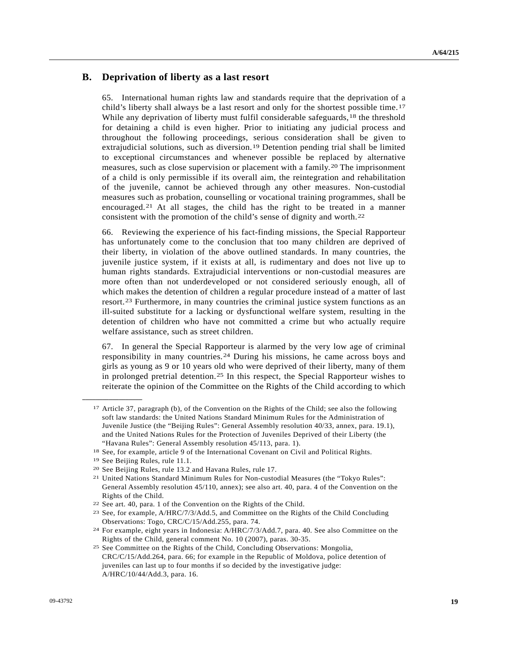### **B. Deprivation of liberty as a last resort**

65. International human rights law and standards require that the deprivation of a child's liberty shall always be a last resort and only for the shortest possible time.[17](#page-18-0) While any deprivation of liberty must fulfil considerable safeguards,<sup>[1](#page-18-1)8</sup> the threshold for detaining a child is even higher. Prior to initiating any judicial process and throughout the following proceedings, serious consideration shall be given to extrajudicial solutions, such as diversion.[19](#page-18-2) Detention pending trial shall be limited to exceptional circumstances and whenever possible be replaced by alternative measures, such as close supervision or placement with a family.[2](#page-18-3)0 The imprisonment of a child is only permissible if its overall aim, the reintegration and rehabilitation of the juvenile, cannot be achieved through any other measures. Non-custodial measures such as probation, counselling or vocational training programmes, shall be encouraged.[21](#page-18-4) At all stages, the child has the right to be treated in a manner consistent with the promotion of the child's sense of dignity and worth.[22](#page-18-5)

66. Reviewing the experience of his fact-finding missions, the Special Rapporteur has unfortunately come to the conclusion that too many children are deprived of their liberty, in violation of the above outlined standards. In many countries, the juvenile justice system, if it exists at all, is rudimentary and does not live up to human rights standards. Extrajudicial interventions or non-custodial measures are more often than not underdeveloped or not considered seriously enough, all of which makes the detention of children a regular procedure instead of a matter of last resort.[2](#page-18-6)3 Furthermore, in many countries the criminal justice system functions as an ill-suited substitute for a lacking or dysfunctional welfare system, resulting in the detention of children who have not committed a crime but who actually require welfare assistance, such as street children.

67. In general the Special Rapporteur is alarmed by the very low age of criminal responsibility in many countries.[2](#page-18-7)4 During his missions, he came across boys and girls as young as 9 or 10 years old who were deprived of their liberty, many of them in prolonged pretrial detention.<sup>[2](#page-18-8)5</sup> In this respect, the Special Rapporteur wishes to reiterate the opinion of the Committee on the Rights of the Child according to which

<span id="page-18-0"></span><sup>17</sup> Article 37, paragraph (b), of the Convention on the Rights of the Child; see also the following soft law standards: the United Nations Standard Minimum Rules for the Administration of Juvenile Justice (the "Beijing Rules": General Assembly resolution 40/33, annex, para. 19.1), and the United Nations Rules for the Protection of Juveniles Deprived of their Liberty (the "Havana Rules": General Assembly resolution 45/113, para. 1).

<span id="page-18-1"></span><sup>&</sup>lt;sup>18</sup> See, for example, article 9 of the International Covenant on Civil and Political Rights. <sup>19</sup> See Beijing Rules, rule 11.1.

<span id="page-18-4"></span><span id="page-18-3"></span><span id="page-18-2"></span>

<sup>&</sup>lt;sup>20</sup> See Beijing Rules, rule 13.2 and Havana Rules, rule 17.<br><sup>21</sup> United Nations Standard Minimum Rules for Non-custodial Measures (the "Tokyo Rules": General Assembly resolution 45/110, annex); see also art. 40, para. 4 of the Convention on the Rights of the Child.

<span id="page-18-6"></span><span id="page-18-5"></span><sup>&</sup>lt;sup>22</sup> See art. 40, para. 1 of the Convention on the Rights of the Child.<br><sup>23</sup> See, for example,  $A/HRC/7/3/Add.5$ , and Committee on the Rights of the Child Concluding Observations: Togo, CRC/C/15/Add.255, para. 74.

<span id="page-18-7"></span><sup>24</sup> For example, eight years in Indonesia: A/HRC/7/3/Add.7, para. 40. See also Committee on the Rights of the Child, general comment No. 10 (2007), paras. 30-35.

<span id="page-18-8"></span><sup>25</sup> See Committee on the Rights of the Child, Concluding Observations: Mongolia, CRC/C/15/Add.264, para. 66; for example in the Republic of Moldova, police detention of juveniles can last up to four months if so decided by the investigative judge: A/HRC/10/44/Add.3, para. 16.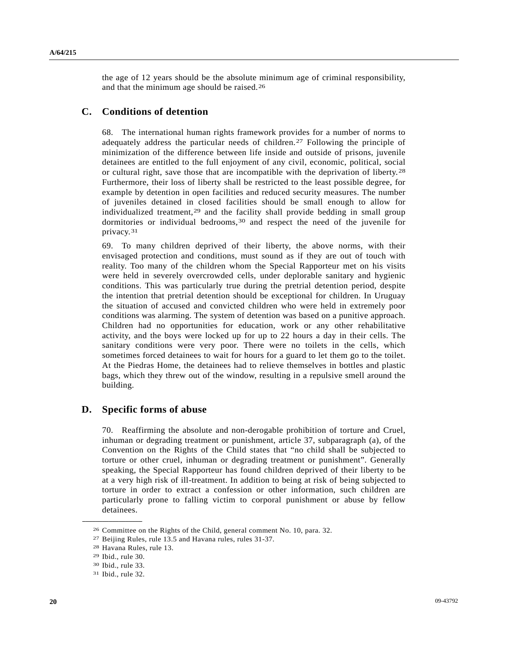the age of 12 years should be the absolute minimum age of criminal responsibility, and that the minimum age should be raised.[26](#page-19-0)

### **C. Conditions of detention**

68. The international human rights framework provides for a number of norms to adequately address the particular needs of children.[2](#page-19-1)7 Following the principle of minimization of the difference between life inside and outside of prisons, juvenile detainees are entitled to the full enjoyment of any civil, economic, political, social or cultural right, save those that are incompatible with the deprivation of liberty.[28](#page-19-2) Furthermore, their loss of liberty shall be restricted to the least possible degree, for example by detention in open facilities and reduced security measures. The number of juveniles detained in closed facilities should be small enough to allow for individualized treatment,<sup>[29](#page-19-3)</sup> and the facility shall provide bedding in small group dormitories or individual bedrooms,[30](#page-19-4) and respect the need of the juvenile for privacy.[3](#page-19-5)1

69. To many children deprived of their liberty, the above norms, with their envisaged protection and conditions, must sound as if they are out of touch with reality. Too many of the children whom the Special Rapporteur met on his visits were held in severely overcrowded cells, under deplorable sanitary and hygienic conditions. This was particularly true during the pretrial detention period, despite the intention that pretrial detention should be exceptional for children. In Uruguay the situation of accused and convicted children who were held in extremely poor conditions was alarming. The system of detention was based on a punitive approach. Children had no opportunities for education, work or any other rehabilitative activity, and the boys were locked up for up to 22 hours a day in their cells. The sanitary conditions were very poor. There were no toilets in the cells, which sometimes forced detainees to wait for hours for a guard to let them go to the toilet. At the Piedras Home, the detainees had to relieve themselves in bottles and plastic bags, which they threw out of the window, resulting in a repulsive smell around the building.

### **D. Specific forms of abuse**

70. Reaffirming the absolute and non-derogable prohibition of torture and Cruel, inhuman or degrading treatment or punishment, article 37, subparagraph (a), of the Convention on the Rights of the Child states that "no child shall be subjected to torture or other cruel, inhuman or degrading treatment or punishment". Generally speaking, the Special Rapporteur has found children deprived of their liberty to be at a very high risk of ill-treatment. In addition to being at risk of being subjected to torture in order to extract a confession or other information, such children are particularly prone to falling victim to corporal punishment or abuse by fellow detainees.

<span id="page-19-2"></span><span id="page-19-1"></span><span id="page-19-0"></span><sup>26</sup> Committee on the Rights of the Child, general comment No. 10, para. 32.

<sup>27</sup> Beijing Rules, rule 13.5 and Havana rules, rules 31-37. 28 Havana Rules, rule 13.

<sup>29</sup> Ibid., rule 30.

<span id="page-19-5"></span><span id="page-19-4"></span><span id="page-19-3"></span><sup>30</sup> Ibid., rule 33.

<sup>31</sup> Ibid., rule 32.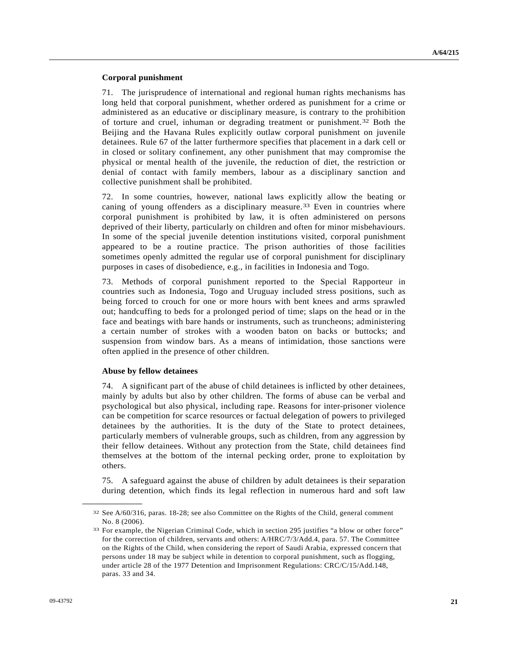#### **Corporal punishment**

71. The jurisprudence of international and regional human rights mechanisms has long held that corporal punishment, whether ordered as punishment for a crime or administered as an educative or disciplinary measure, is contrary to the prohibition of torture and cruel, inhuman or degrading treatment or punishment.[32](#page-20-0) Both the Beijing and the Havana Rules explicitly outlaw corporal punishment on juvenile detainees. Rule 67 of the latter furthermore specifies that placement in a dark cell or in closed or solitary confinement, any other punishment that may compromise the physical or mental health of the juvenile, the reduction of diet, the restriction or denial of contact with family members, labour as a disciplinary sanction and collective punishment shall be prohibited.

72. In some countries, however, national laws explicitly allow the beating or caning of young offenders as a disciplinary measure.<sup>[3](#page-20-1)3</sup> Even in countries where corporal punishment is prohibited by law, it is often administered on persons deprived of their liberty, particularly on children and often for minor misbehaviours. In some of the special juvenile detention institutions visited, corporal punishment appeared to be a routine practice. The prison authorities of those facilities sometimes openly admitted the regular use of corporal punishment for disciplinary purposes in cases of disobedience, e.g., in facilities in Indonesia and Togo.

73. Methods of corporal punishment reported to the Special Rapporteur in countries such as Indonesia, Togo and Uruguay included stress positions, such as being forced to crouch for one or more hours with bent knees and arms sprawled out; handcuffing to beds for a prolonged period of time; slaps on the head or in the face and beatings with bare hands or instruments, such as truncheons; administering a certain number of strokes with a wooden baton on backs or buttocks; and suspension from window bars. As a means of intimidation, those sanctions were often applied in the presence of other children.

#### **Abuse by fellow detainees**

<span id="page-20-1"></span><span id="page-20-0"></span>**\_\_\_\_\_\_\_\_\_\_\_\_\_\_\_\_\_\_** 

74. A significant part of the abuse of child detainees is inflicted by other detainees, mainly by adults but also by other children. The forms of abuse can be verbal and psychological but also physical, including rape. Reasons for inter-prisoner violence can be competition for scarce resources or factual delegation of powers to privileged detainees by the authorities. It is the duty of the State to protect detainees, particularly members of vulnerable groups, such as children, from any aggression by their fellow detainees. Without any protection from the State, child detainees find themselves at the bottom of the internal pecking order, prone to exploitation by others.

75. A safeguard against the abuse of children by adult detainees is their separation during detention, which finds its legal reflection in numerous hard and soft law

<sup>32</sup> See A/60/316, paras. 18-28; see also Committee on the Rights of the Child, general comment No. 8 (2006).

<sup>33</sup> For example, the Nigerian Criminal Code, which in section 295 justifies "a blow or other force" for the correction of children, servants and others: A/HRC/7/3/Add.4, para. 57. The Committee on the Rights of the Child, when considering the report of Saudi Arabia, expressed concern that persons under 18 may be subject while in detention to corporal punishment, such as flogging, under article 28 of the 1977 Detention and Imprisonment Regulations: CRC/C/15/Add.148, paras. 33 and 34.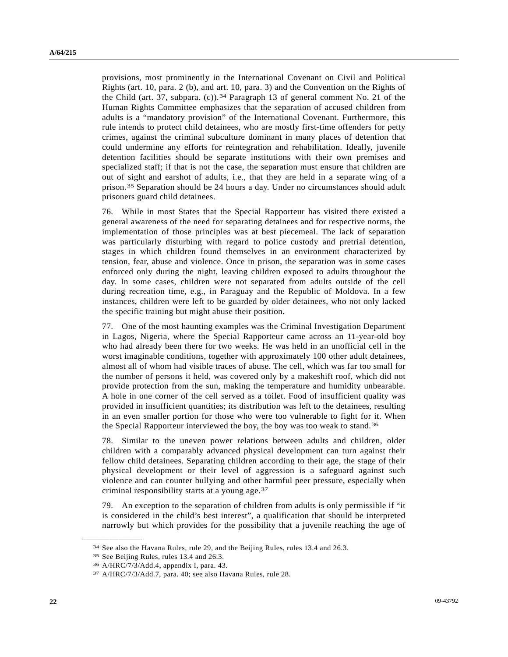provisions, most prominently in the International Covenant on Civil and Political Rights (art. 10, para. 2 (b), and art. 10, para. 3) and the Convention on the Rights of the Child (art. 37, subpara. (c)).<sup>[34](#page-21-0)</sup> Paragraph 13 of general comment No. 21 of the Human Rights Committee emphasizes that the separation of accused children from adults is a "mandatory provision" of the International Covenant. Furthermore, this rule intends to protect child detainees, who are mostly first-time offenders for petty crimes, against the criminal subculture dominant in many places of detention that could undermine any efforts for reintegration and rehabilitation. Ideally, juvenile detention facilities should be separate institutions with their own premises and specialized staff; if that is not the case, the separation must ensure that children are out of sight and earshot of adults, i.e., that they are held in a separate wing of a prison.[35](#page-21-1) Separation should be 24 hours a day. Under no circumstances should adult prisoners guard child detainees.

76. While in most States that the Special Rapporteur has visited there existed a general awareness of the need for separating detainees and for respective norms, the implementation of those principles was at best piecemeal. The lack of separation was particularly disturbing with regard to police custody and pretrial detention, stages in which children found themselves in an environment characterized by tension, fear, abuse and violence. Once in prison, the separation was in some cases enforced only during the night, leaving children exposed to adults throughout the day. In some cases, children were not separated from adults outside of the cell during recreation time, e.g., in Paraguay and the Republic of Moldova. In a few instances, children were left to be guarded by older detainees, who not only lacked the specific training but might abuse their position.

77. One of the most haunting examples was the Criminal Investigation Department in Lagos, Nigeria, where the Special Rapporteur came across an 11-year-old boy who had already been there for two weeks. He was held in an unofficial cell in the worst imaginable conditions, together with approximately 100 other adult detainees, almost all of whom had visible traces of abuse. The cell, which was far too small for the number of persons it held, was covered only by a makeshift roof, which did not provide protection from the sun, making the temperature and humidity unbearable. A hole in one corner of the cell served as a toilet. Food of insufficient quality was provided in insufficient quantities; its distribution was left to the detainees, resulting in an even smaller portion for those who were too vulnerable to fight for it. When the Special Rapporteur interviewed the boy, the boy was too weak to stand.[3](#page-21-2)6

78. Similar to the uneven power relations between adults and children, older children with a comparably advanced physical development can turn against their fellow child detainees. Separating children according to their age, the stage of their physical development or their level of aggression is a safeguard against such violence and can counter bullying and other harmful peer pressure, especially when criminal responsibility starts at a young age.[3](#page-21-3)7

79. An exception to the separation of children from adults is only permissible if "it is considered in the child's best interest", a qualification that should be interpreted narrowly but which provides for the possibility that a juvenile reaching the age of

<span id="page-21-0"></span><sup>34</sup> See also the Havana Rules, rule 29, and the Beijing Rules, rules 13.4 and 26.3. 35 See Beijing Rules, rules 13.4 and 26.3.

<span id="page-21-3"></span><span id="page-21-2"></span><span id="page-21-1"></span><sup>36</sup> A/HRC/7/3/Add.4, appendix I, para. 43.

<sup>37</sup> A/HRC/7/3/Add.7, para. 40; see also Havana Rules, rule 28.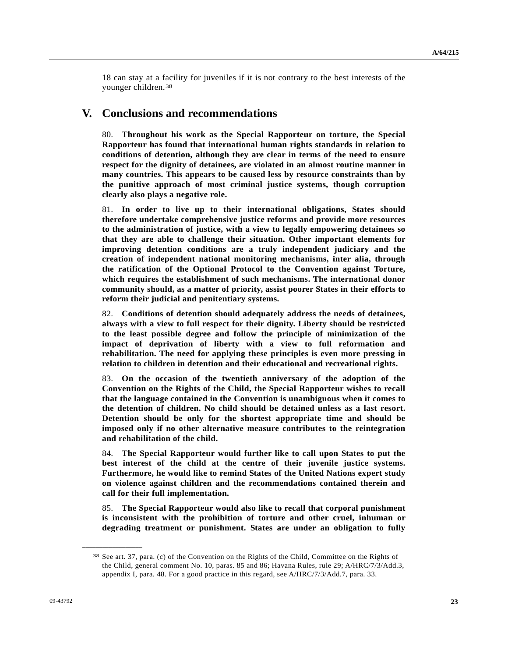18 can stay at a facility for juveniles if it is not contrary to the best interests of the younger children.[38](#page-22-0)

### **V. Conclusions and recommendations**

80. **Throughout his work as the Special Rapporteur on torture, the Special Rapporteur has found that international human rights standards in relation to conditions of detention, although they are clear in terms of the need to ensure respect for the dignity of detainees, are violated in an almost routine manner in many countries. This appears to be caused less by resource constraints than by the punitive approach of most criminal justice systems, though corruption clearly also plays a negative role.** 

81. **In order to live up to their international obligations, States should therefore undertake comprehensive justice reforms and provide more resources to the administration of justice, with a view to legally empowering detainees so that they are able to challenge their situation. Other important elements for improving detention conditions are a truly independent judiciary and the creation of independent national monitoring mechanisms, inter alia, through the ratification of the Optional Protocol to the Convention against Torture, which requires the establishment of such mechanisms. The international donor community should, as a matter of priority, assist poorer States in their efforts to reform their judicial and penitentiary systems.** 

82. **Conditions of detention should adequately address the needs of detainees, always with a view to full respect for their dignity. Liberty should be restricted to the least possible degree and follow the principle of minimization of the impact of deprivation of liberty with a view to full reformation and rehabilitation. The need for applying these principles is even more pressing in relation to children in detention and their educational and recreational rights.** 

83. **On the occasion of the twentieth anniversary of the adoption of the Convention on the Rights of the Child, the Special Rapporteur wishes to recall that the language contained in the Convention is unambiguous when it comes to the detention of children. No child should be detained unless as a last resort. Detention should be only for the shortest appropriate time and should be imposed only if no other alternative measure contributes to the reintegration and rehabilitation of the child.** 

84. **The Special Rapporteur would further like to call upon States to put the best interest of the child at the centre of their juvenile justice systems. Furthermore, he would like to remind States of the United Nations expert study on violence against children and the recommendations contained therein and call for their full implementation.** 

85. **The Special Rapporteur would also like to recall that corporal punishment is inconsistent with the prohibition of torture and other cruel, inhuman or degrading treatment or punishment. States are under an obligation to fully** 

<span id="page-22-0"></span><sup>38</sup> See art. 37, para. (c) of the Convention on the Rights of the Child, Committee on the Rights of the Child, general comment No. 10, paras. 85 and 86; Havana Rules, rule 29; A/HRC/7/3/Add.3, appendix I, para. 48. For a good practice in this regard, see A/HRC/7/3/Add.7, para. 33.